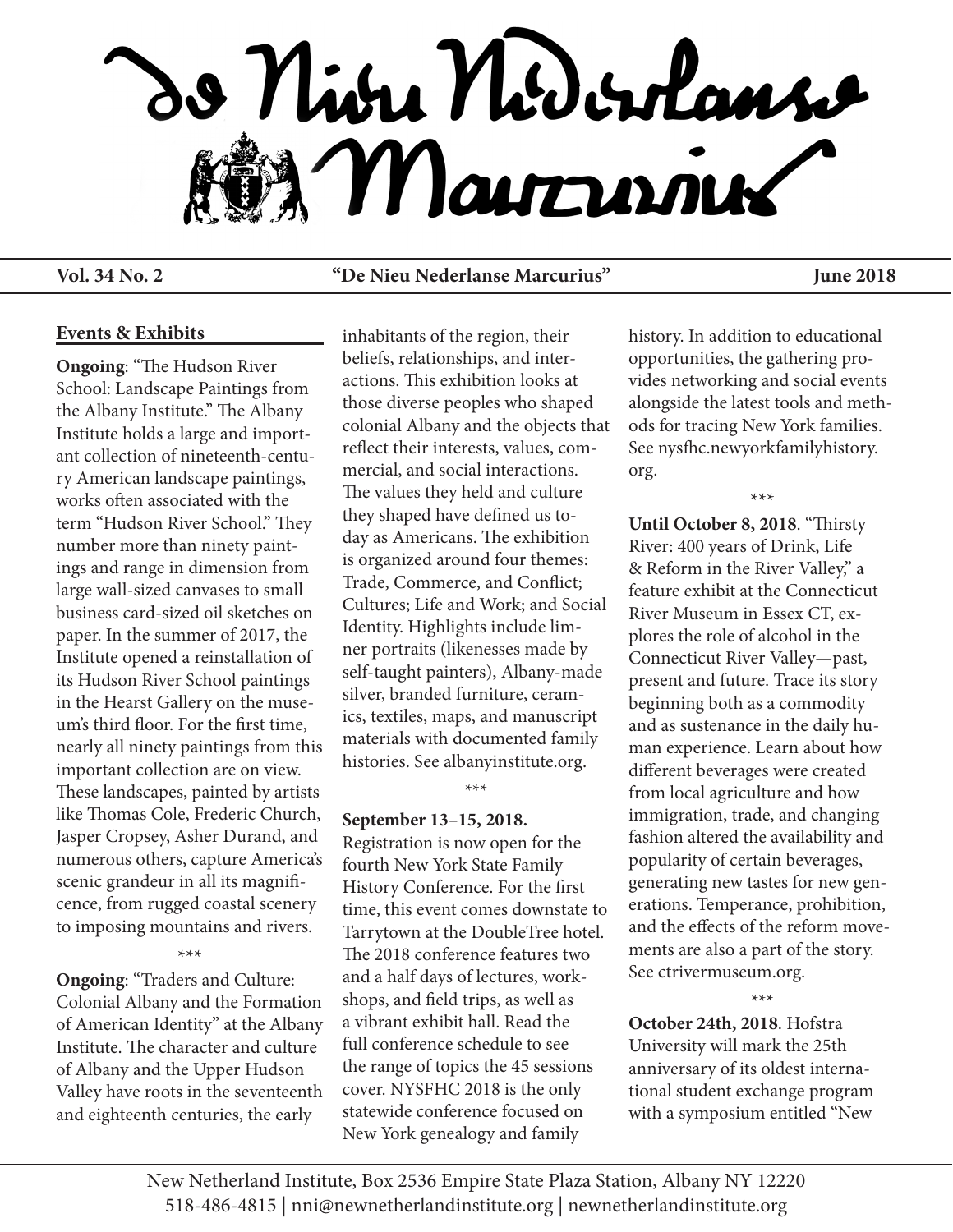

## **Vol. 34 No. 2 "De Nieu Nederlanse Marcurius" June 2018**

#### **Events & Exhibits**

**Ongoing**: "The Hudson River School: Landscape Paintings from the Albany Institute." The Albany Institute holds a large and important collection of nineteenth-century American landscape paintings, works often associated with the term "Hudson River School." They number more than ninety paintings and range in dimension from large wall-sized canvases to small business card-sized oil sketches on paper. In the summer of 2017, the Institute opened a reinstallation of its Hudson River School paintings in the Hearst Gallery on the museum's third floor. For the first time, nearly all ninety paintings from this important collection are on view. These landscapes, painted by artists like Thomas Cole, Frederic Church, Jasper Cropsey, Asher Durand, and numerous others, capture America's scenic grandeur in all its magnificence, from rugged coastal scenery to imposing mountains and rivers.

## \*\*\*

**Ongoing**: "Traders and Culture: Colonial Albany and the Formation of American Identity" at the Albany Institute. The character and culture of Albany and the Upper Hudson Valley have roots in the seventeenth and eighteenth centuries, the early

inhabitants of the region, their beliefs, relationships, and interactions. This exhibition looks at those diverse peoples who shaped colonial Albany and the objects that reflect their interests, values, commercial, and social interactions. The values they held and culture they shaped have defined us today as Americans. The exhibition is organized around four themes: Trade, Commerce, and Conflict; Cultures; Life and Work; and Social Identity. Highlights include limner portraits (likenesses made by self-taught painters), Albany-made silver, branded furniture, ceramics, textiles, maps, and manuscript materials with documented family histories. See albanyinstitute.org.

#### \*\*\*

#### **September 13–15, 2018.**

Registration is now open for the fourth New York State Family History Conference. For the first time, this event comes downstate to Tarrytown at the DoubleTree hotel. The 2018 conference features two and a half days of lectures, workshops, and field trips, as well as a vibrant exhibit hall. Read the full conference schedule to see the range of topics the 45 sessions cover. NYSFHC 2018 is the only statewide conference focused on New York genealogy and family

history. In addition to educational opportunities, the gathering provides networking and social events alongside the latest tools and methods for tracing New York families. See nysfhc.newyorkfamilyhistory. org.

\*\*\*

**Until October 8, 2018**. "Thirsty River: 400 years of Drink, Life & Reform in the River Valley," a feature exhibit at the Connecticut River Museum in Essex CT, explores the role of alcohol in the Connecticut River Valley—past, present and future. Trace its story beginning both as a commodity and as sustenance in the daily human experience. Learn about how different beverages were created from local agriculture and how immigration, trade, and changing fashion altered the availability and popularity of certain beverages, generating new tastes for new generations. Temperance, prohibition, and the effects of the reform movements are also a part of the story. See ctrivermuseum.org.

**October 24th, 2018**. Hofstra University will mark the 25th anniversary of its oldest international student exchange program with a symposium entitled "New

\*\*\*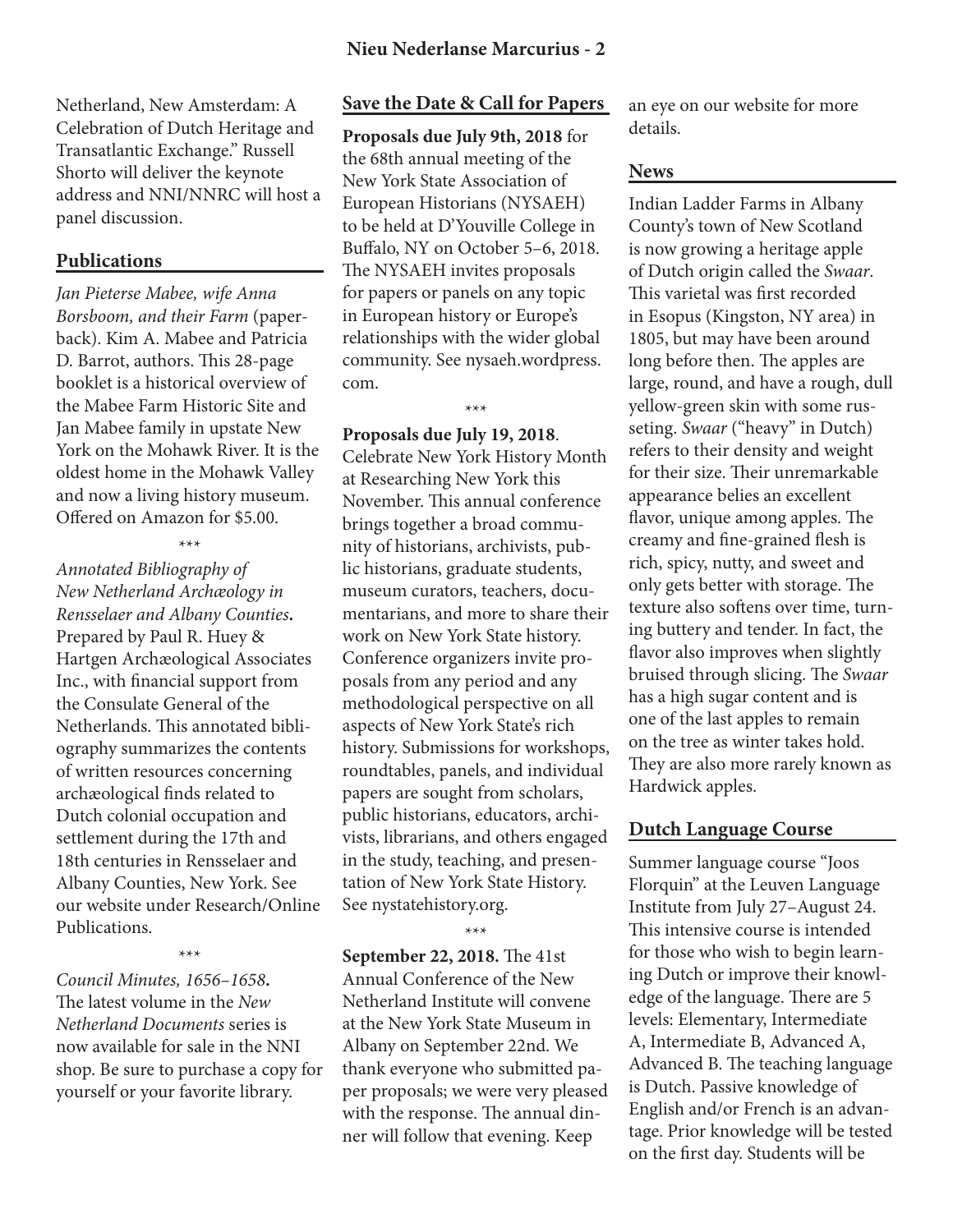Netherland, New Amsterdam: A Celebration of Dutch Heritage and Transatlantic Exchange." Russell Shorto will deliver the keynote address and NNI/NNRC will host a panel discussion.

## **Publications**

*Jan Pieterse Mabee, wife Anna Borsboom, and their Farm* (paperback). Kim A. Mabee and Patricia D. Barrot, authors. This 28-page booklet is a historical overview of the Mabee Farm Historic Site and Jan Mabee family in upstate New York on the Mohawk River. It is the oldest home in the Mohawk Valley and now a living history museum. Offered on Amazon for \$5.00.

\*\*\*

*Annotated Bibliography of New Netherland Archæology in Rensselaer and Albany Counties***.** Prepared by Paul R. Huey & Hartgen Archæological Associates Inc., with financial support from the Consulate General of the Netherlands. This annotated bibliography summarizes the contents of written resources concerning archæological finds related to Dutch colonial occupation and settlement during the 17th and 18th centuries in Rensselaer and Albany Counties, New York. See our website under Research/Online Publications.

*Council Minutes, 1656–1658***.**  The latest volume in the *New Netherland Documents* series is now available for sale in the NNI shop. Be sure to purchase a copy for yourself or your favorite library.

\*\*\*

## **Save the Date & Call for Papers**

**Proposals due July 9th, 2018** for the 68th annual meeting of the New York State Association of European Historians (NYSAEH) to be held at D'Youville College in Buffalo, NY on October 5–6, 2018. The NYSAEH invites proposals for papers or panels on any topic in European history or Europe's relationships with the wider global community. See nysaeh.wordpress. com.

# **Proposals due July 19, 2018**.

\*\*\*

Celebrate New York History Month at Researching New York this November. This annual conference brings together a broad community of historians, archivists, public historians, graduate students, museum curators, teachers, documentarians, and more to share their work on New York State history. Conference organizers invite proposals from any period and any methodological perspective on all aspects of New York State's rich history. Submissions for workshops, roundtables, panels, and individual papers are sought from scholars, public historians, educators, archivists, librarians, and others engaged in the study, teaching, and presentation of New York State History. See nystatehistory.org.

\*\*\*

**September 22, 2018.** The 41st Annual Conference of the New Netherland Institute will convene at the New York State Museum in Albany on September 22nd. We thank everyone who submitted paper proposals; we were very pleased with the response. The annual dinner will follow that evening. Keep

an eye on our website for more details.

#### **News**

Indian Ladder Farms in Albany County's town of New Scotland is now growing a heritage apple of Dutch origin called the *Swaar*. This varietal was first recorded in Esopus (Kingston, NY area) in 1805, but may have been around long before then. The apples are large, round, and have a rough, dull yellow-green skin with some russeting. *Swaar* ("heavy" in Dutch) refers to their density and weight for their size. Their unremarkable appearance belies an excellent flavor, unique among apples. The creamy and fine-grained flesh is rich, spicy, nutty, and sweet and only gets better with storage. The texture also softens over time, turning buttery and tender. In fact, the flavor also improves when slightly bruised through slicing. The *Swaar* has a high sugar content and is one of the last apples to remain on the tree as winter takes hold. They are also more rarely known as Hardwick apples.

## **Dutch Language Course**

Summer language course "Joos Florquin" at the Leuven Language Institute from July 27–August 24. This intensive course is intended for those who wish to begin learning Dutch or improve their knowledge of the language. There are 5 levels: Elementary, Intermediate A, Intermediate B, Advanced A, Advanced B. The teaching language is Dutch. Passive knowledge of English and/or French is an advantage. Prior knowledge will be tested on the first day. Students will be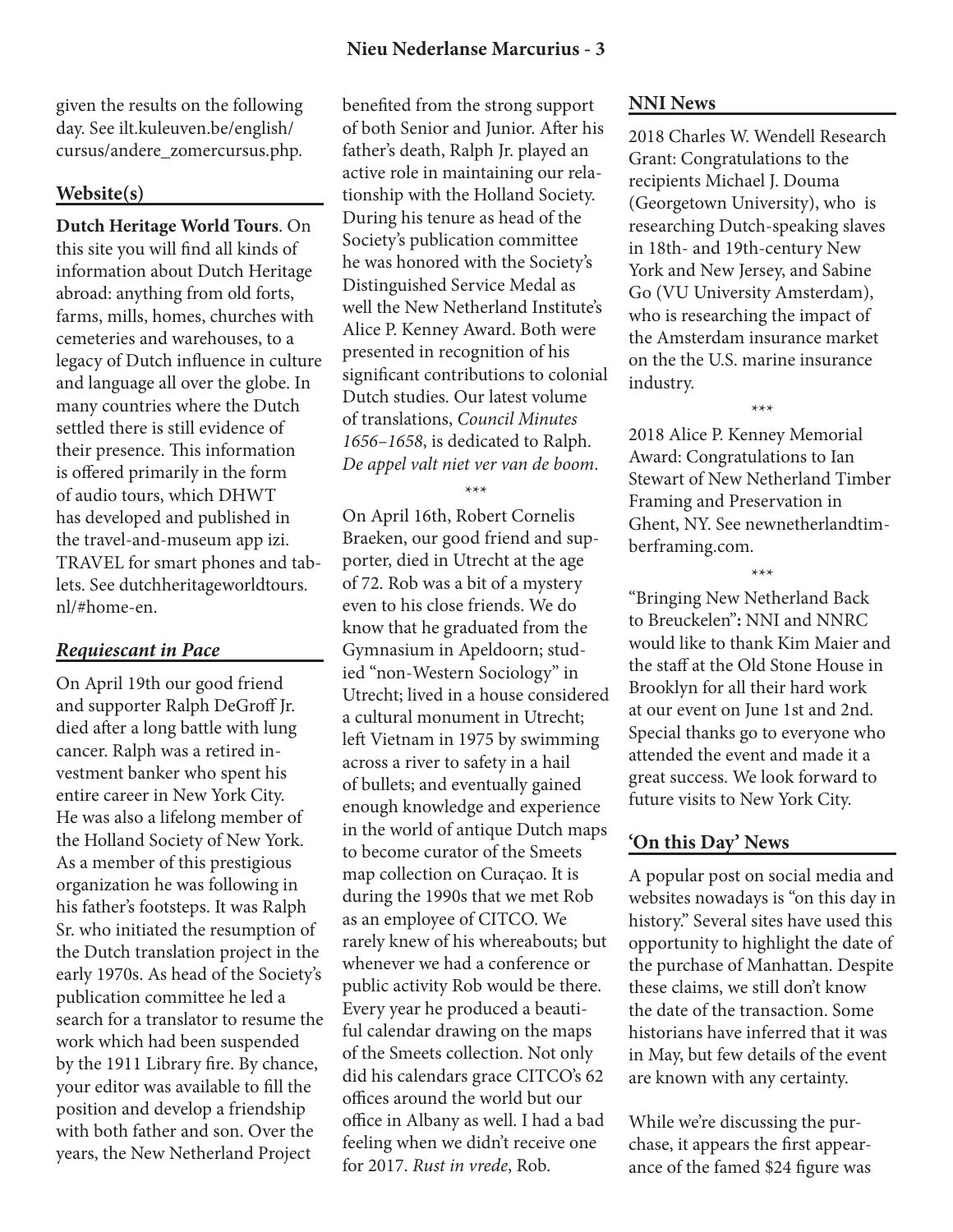given the results on the following day. See ilt.kuleuven.be/english/ cursus/andere\_zomercursus.php.

## **Website(s)**

**Dutch Heritage World Tours**. On this site you will find all kinds of information about Dutch Heritage abroad: anything from old forts, farms, mills, homes, churches with cemeteries and warehouses, to a legacy of Dutch influence in culture and language all over the globe. In many countries where the Dutch settled there is still evidence of their presence. This information is offered primarily in the form of audio tours, which DHWT has developed and published in the travel-and-museum app izi. TRAVEL for smart phones and tablets. See dutchheritageworldtours. nl/#home-en.

### *Requiescant in Pace*

On April 19th our good friend and supporter Ralph DeGroff Jr. died after a long battle with lung cancer. Ralph was a retired investment banker who spent his entire career in New York City. He was also a lifelong member of the Holland Society of New York. As a member of this prestigious organization he was following in his father's footsteps. It was Ralph Sr. who initiated the resumption of the Dutch translation project in the early 1970s. As head of the Society's publication committee he led a search for a translator to resume the work which had been suspended by the 1911 Library fire. By chance, your editor was available to fill the position and develop a friendship with both father and son. Over the years, the New Netherland Project

benefited from the strong support of both Senior and Junior. After his father's death, Ralph Jr. played an active role in maintaining our relationship with the Holland Society. During his tenure as head of the Society's publication committee he was honored with the Society's Distinguished Service Medal as well the New Netherland Institute's Alice P. Kenney Award. Both were presented in recognition of his significant contributions to colonial Dutch studies. Our latest volume of translations, *Council Minutes 1656–1658*, is dedicated to Ralph. *De appel valt niet ver van de boom*.

\*\*\*

On April 16th, Robert Cornelis Braeken, our good friend and supporter, died in Utrecht at the age of 72. Rob was a bit of a mystery even to his close friends. We do know that he graduated from the Gymnasium in Apeldoorn; studied "non-Western Sociology" in Utrecht; lived in a house considered a cultural monument in Utrecht; left Vietnam in 1975 by swimming across a river to safety in a hail of bullets; and eventually gained enough knowledge and experience in the world of antique Dutch maps to become curator of the Smeets map collection on Curaçao. It is during the 1990s that we met Rob as an employee of CITCO. We rarely knew of his whereabouts; but whenever we had a conference or public activity Rob would be there. Every year he produced a beautiful calendar drawing on the maps of the Smeets collection. Not only did his calendars grace CITCO's 62 offices around the world but our office in Albany as well. I had a bad feeling when we didn't receive one for 2017. *Rust in vrede*, Rob.

## **NNI News**

2018 Charles W. Wendell Research Grant: Congratulations to the recipients Michael J. Douma (Georgetown University), who is researching Dutch-speaking slaves in 18th- and 19th-century New York and New Jersey, and Sabine Go (VU University Amsterdam), who is researching the impact of the Amsterdam insurance market on the the U.S. marine insurance industry.

2018 Alice P. Kenney Memorial Award: Congratulations to Ian Stewart of New Netherland Timber Framing and Preservation in Ghent, NY. See newnetherlandtimberframing.com.

\*\*\*

\*\*\*

"Bringing New Netherland Back to Breuckelen"**:** NNI and NNRC would like to thank Kim Maier and the staff at the Old Stone House in Brooklyn for all their hard work at our event on June 1st and 2nd. Special thanks go to everyone who attended the event and made it a great success. We look forward to future visits to New York City.

# **'On this Day' News**

A popular post on social media and websites nowadays is "on this day in history." Several sites have used this opportunity to highlight the date of the purchase of Manhattan. Despite these claims, we still don't know the date of the transaction. Some historians have inferred that it was in May, but few details of the event are known with any certainty.

While we're discussing the purchase, it appears the first appearance of the famed \$24 figure was